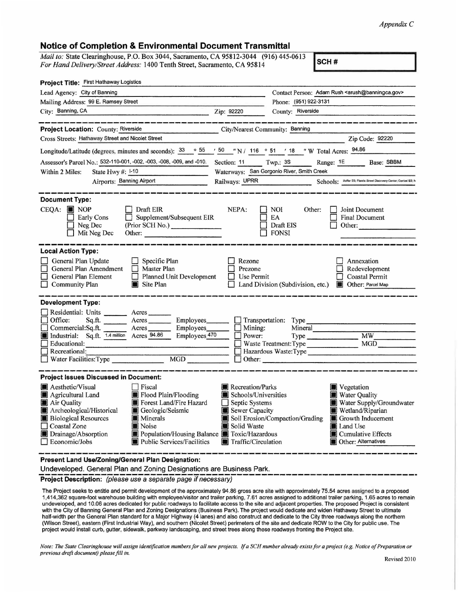## *Appendix C*

## **Notice of Completion** & **Environmental Document Transmittal**

| Mail to: State Clearinghouse, P.O. Box 3044, Sacramento, CA 95812-3044 (916) 445-0613<br>For Hand Delivery/Street Address: 1400 Tenth Street, Sacramento, CA 95814 |  |
|--------------------------------------------------------------------------------------------------------------------------------------------------------------------|--|
| For Hand Delivery/Street Address: 1400 Tenth Street, Sacramento, CA 95814                                                                                          |  |

| Project Title: First Hathaway Logistics                                                                                                                                                                                                                                                                                                                                                                                            |                                                                                                                    |                                                                                                                                                                                                            |  |
|------------------------------------------------------------------------------------------------------------------------------------------------------------------------------------------------------------------------------------------------------------------------------------------------------------------------------------------------------------------------------------------------------------------------------------|--------------------------------------------------------------------------------------------------------------------|------------------------------------------------------------------------------------------------------------------------------------------------------------------------------------------------------------|--|
| Lead Agency: City of Banning                                                                                                                                                                                                                                                                                                                                                                                                       |                                                                                                                    | Contact Person: Adam Rush <arush@banningca.gov></arush@banningca.gov>                                                                                                                                      |  |
| Mailing Address: 99 E. Ramsey Street                                                                                                                                                                                                                                                                                                                                                                                               |                                                                                                                    | Phone: (951) 922-3131                                                                                                                                                                                      |  |
| City: Banning, CA                                                                                                                                                                                                                                                                                                                                                                                                                  | Zip: 92220                                                                                                         | County: Riverside                                                                                                                                                                                          |  |
| Project Location: County: Riverside                                                                                                                                                                                                                                                                                                                                                                                                | City/Nearest Community: Banning                                                                                    |                                                                                                                                                                                                            |  |
| Cross Streets: Hathaway Street and Nicolet Street                                                                                                                                                                                                                                                                                                                                                                                  |                                                                                                                    | Zip Code: 92220                                                                                                                                                                                            |  |
| Longitude/Latitude (degrees, minutes and seconds): $\frac{33}{95}$ $\frac{55}{95}$ $\frac{1}{10}$ $\frac{50}{91}$ $\frac{1}{10}$ 116 $\degree$ 51 $\degree$ 18 $\degree$ W Total Acres: $\frac{94.86}{94.86}$                                                                                                                                                                                                                      |                                                                                                                    |                                                                                                                                                                                                            |  |
| Assessor's Parcel No.: 532-110-001, -002, -003, -008, -009, and -010.                                                                                                                                                                                                                                                                                                                                                              | Section: 11                                                                                                        | Twp.: 3S<br>Range: 1E Base: SBBM                                                                                                                                                                           |  |
| Within 2 Miles:<br>State Hwy #: 1-10                                                                                                                                                                                                                                                                                                                                                                                               |                                                                                                                    | Waterways: San Gorgonio River, Smith Creek                                                                                                                                                                 |  |
| Airports: Banning Airport                                                                                                                                                                                                                                                                                                                                                                                                          | Railways: UPRR                                                                                                     | Schools: Hoffer ES; Florida Street Discovery Center; Central ES; N                                                                                                                                         |  |
| <b>Document Type:</b><br>$CEOA:$ MOP<br>Draft EIR<br><b>Early Cons</b><br>Supplement/Subsequent EIR<br>$\Box$ Neg Dec<br>(Prior SCH No.)<br>$\Box$ Mit Neg Dec<br>Other:                                                                                                                                                                                                                                                           | NEPA:                                                                                                              | NOI.<br>Joint Document<br>Other:<br>EA<br><b>Final Document</b><br>Draft EIS<br>Other:<br><b>FONSI</b>                                                                                                     |  |
| <b>Local Action Type:</b><br>General Plan Update<br>$\Box$ Specific Plan<br>General Plan Amendment<br>$\Box$ Master Plan<br>$\Box$ Planned Unit Development<br>General Plan Element<br><b>Community Plan</b><br>$\blacksquare$ Site Plan                                                                                                                                                                                           | Rezone<br>Prezone<br>$\Box$ Use Permit                                                                             | Annexation<br>Redevelopment<br><b>Coastal Permit</b><br>Land Division (Subdivision, etc.) <b>Delay</b> Other: Parcel Map                                                                                   |  |
| <b>Development Type:</b><br>Residential: Units ________ Acres<br>$\Box$ Office:<br>Sq.ft. _________ Acres __________ Employees ________ [ ] Transportation: Type __________<br>Commercial:Sq.ft. Acres Employees<br>Industrial: Sq.ft. 1.4 million Acres 94.86 Employees 47<br>Employees 470<br>Educational:<br>$\Box$ Recreational:<br>MGD<br>Water Facilities: Type                                                              | Mining:<br>Power:                                                                                                  | Mineral<br>MGD<br>$\Box$ Waste Treatment: Type<br>Hazardous Waste: Type<br>$\Box$ Other:                                                                                                                   |  |
| <b>Project Issues Discussed in Document:</b><br>Aesthetic/Visual<br>$ $ Fiscal<br>Flood Plain/Flooding<br>Agricultural Land<br>Forest Land/Fire Hazard<br>Air Quality<br>Archeological/Historical<br>Geologic/Seismic<br><b>Biological Resources</b><br><b>Minerals</b><br>Noise<br>$\Box$ Coastal Zone<br>Drainage/Absorption<br>Population/Housing Balance Toxic/Hazardous<br>Economic/Jobs<br><b>Public Services/Facilities</b> | Recreation/Parks<br>Schools/Universities<br>Septic Systems<br>Sewer Capacity<br>Solid Waste<br>Traffic/Circulation | Vegetation<br>Water Quality<br>Water Supply/Groundwater<br>Wetland/Riparian<br>Soil Erosion/Compaction/Grading<br><b>Growth Inducement</b><br>Land Use<br>Cumulative Effects<br><b>Other: Alternatives</b> |  |
| Present Land Use/Zoning/General Plan Designation:                                                                                                                                                                                                                                                                                                                                                                                  |                                                                                                                    |                                                                                                                                                                                                            |  |

Undeveloped. General Plan and Zoning Designations are Business Park. --------------------------------------------- **Project Description:** (please use a separate page if necessary) -----------------

The Project seeks to entitle and permit development of the approximately 94.86 gross acre site with approximately 75.54 acres assigned to a proposed 1,414,362 square-foot warehouse building with employee/visitor and trailer parking, 7.61 acres assigned to additional trailer parking, 1.65 acres to remain undeveloped, and 10.06 acres dedicated for public roadways to facilitate access to the site and adjacent properties. The proposed Project is consistent with the City of Banning General Plan and Zoning Designations (Business Park). The project would dedicate and widen Hathaway Street to ultimate half-width per the General Plan standard for a Major Highway (4 lanes) and also construct and dedicate to the City three roadways along the northern (Wilson Street), eastern (First Industrial Way), and southern (Nicolet Street) perimeters of the site and dedicate ROW to the City for public use. The project would install curb, gutter, sidewalk, parkway landscaping, and street trees along these roadways fronting the Project site.

*Note: The State Clearinghouse will assign identification numbers for all new projects. If a SCH number already exists for a project (e.g. Notice of Preparation or previous draft document) please fill in.*